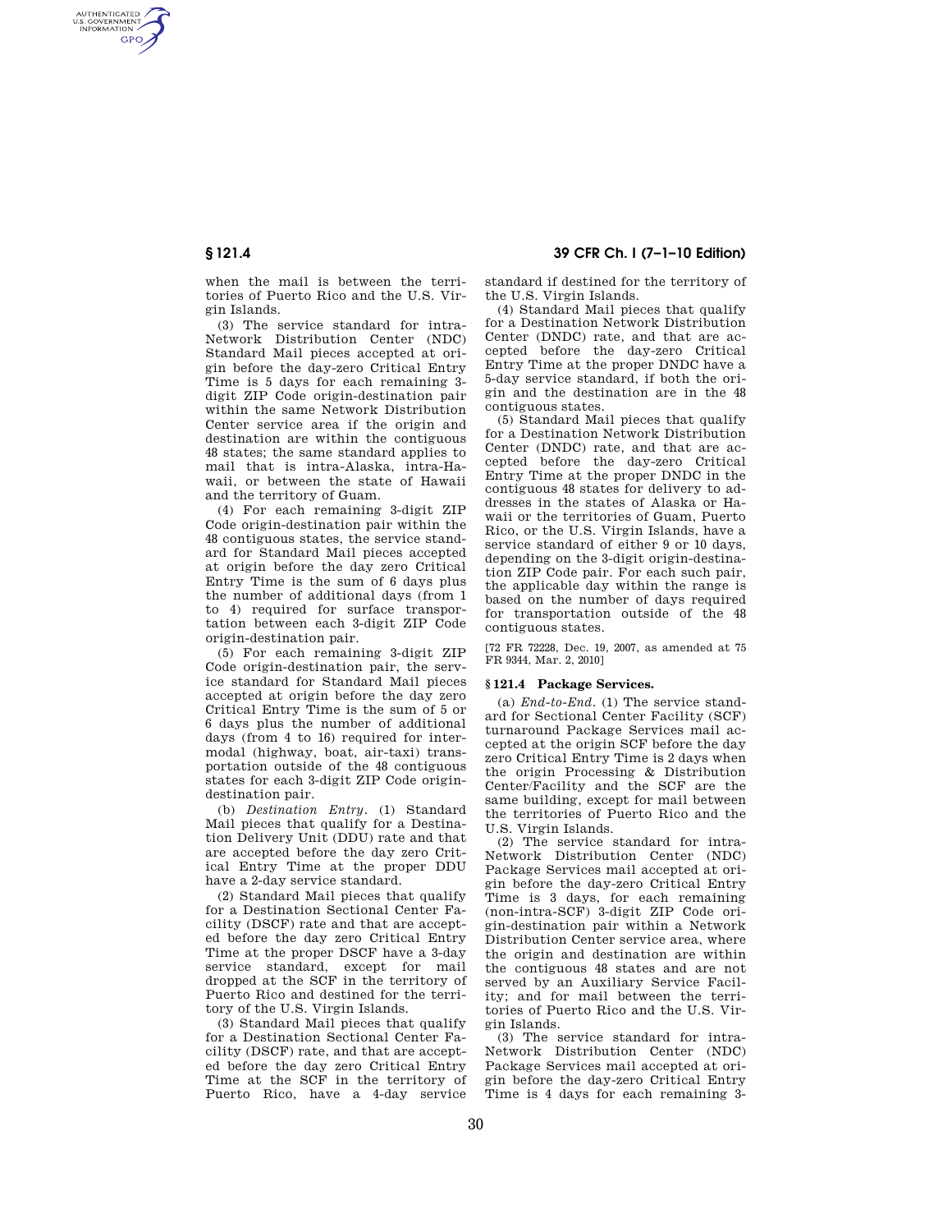AUTHENTICATED<br>U.S. GOVERNMENT<br>INFORMATION **GPO** 

> when the mail is between the territories of Puerto Rico and the U.S. Virgin Islands.

> (3) The service standard for intra-Network Distribution Center (NDC) Standard Mail pieces accepted at origin before the day-zero Critical Entry Time is 5 days for each remaining 3 digit ZIP Code origin-destination pair within the same Network Distribution Center service area if the origin and destination are within the contiguous 48 states; the same standard applies to mail that is intra-Alaska, intra-Hawaii, or between the state of Hawaii and the territory of Guam.

> (4) For each remaining 3-digit ZIP Code origin-destination pair within the 48 contiguous states, the service standard for Standard Mail pieces accepted at origin before the day zero Critical Entry Time is the sum of 6 days plus the number of additional days (from 1 to 4) required for surface transportation between each 3-digit ZIP Code origin-destination pair.

> (5) For each remaining 3-digit ZIP Code origin-destination pair, the service standard for Standard Mail pieces accepted at origin before the day zero Critical Entry Time is the sum of 5 or 6 days plus the number of additional days (from 4 to 16) required for intermodal (highway, boat, air-taxi) transportation outside of the 48 contiguous states for each 3-digit ZIP Code origindestination pair.

> (b) *Destination Entry.* (1) Standard Mail pieces that qualify for a Destination Delivery Unit (DDU) rate and that are accepted before the day zero Critical Entry Time at the proper DDU have a 2-day service standard.

> (2) Standard Mail pieces that qualify for a Destination Sectional Center Facility (DSCF) rate and that are accepted before the day zero Critical Entry Time at the proper DSCF have a 3-day service standard, except for mail dropped at the SCF in the territory of Puerto Rico and destined for the territory of the U.S. Virgin Islands.

> (3) Standard Mail pieces that qualify for a Destination Sectional Center Facility (DSCF) rate, and that are accepted before the day zero Critical Entry Time at the SCF in the territory of Puerto Rico, have a 4-day service

# **§ 121.4 39 CFR Ch. I (7–1–10 Edition)**

standard if destined for the territory of the U.S. Virgin Islands.

(4) Standard Mail pieces that qualify for a Destination Network Distribution Center (DNDC) rate, and that are accepted before the day-zero Critical Entry Time at the proper DNDC have a 5-day service standard, if both the origin and the destination are in the 48 contiguous states.

(5) Standard Mail pieces that qualify for a Destination Network Distribution Center (DNDC) rate, and that are accepted before the day-zero Critical Entry Time at the proper DNDC in the contiguous 48 states for delivery to addresses in the states of Alaska or Hawaii or the territories of Guam, Puerto Rico, or the U.S. Virgin Islands, have a service standard of either 9 or 10 days, depending on the 3-digit origin-destination ZIP Code pair. For each such pair, the applicable day within the range is based on the number of days required for transportation outside of the 48 contiguous states.

[72 FR 72228, Dec. 19, 2007, as amended at 75 FR 9344, Mar. 2, 2010]

### **§ 121.4 Package Services.**

(a) *End-to-End.* (1) The service standard for Sectional Center Facility (SCF) turnaround Package Services mail accepted at the origin SCF before the day zero Critical Entry Time is 2 days when the origin Processing & Distribution Center/Facility and the SCF are the same building, except for mail between the territories of Puerto Rico and the U.S. Virgin Islands.

(2) The service standard for intra-Network Distribution Center (NDC) Package Services mail accepted at origin before the day-zero Critical Entry Time is 3 days, for each remaining (non-intra-SCF) 3-digit ZIP Code origin-destination pair within a Network Distribution Center service area, where the origin and destination are within the contiguous 48 states and are not served by an Auxiliary Service Facility; and for mail between the territories of Puerto Rico and the U.S. Virgin Islands.

(3) The service standard for intra-Network Distribution Center (NDC) Package Services mail accepted at origin before the day-zero Critical Entry Time is 4 days for each remaining 3-